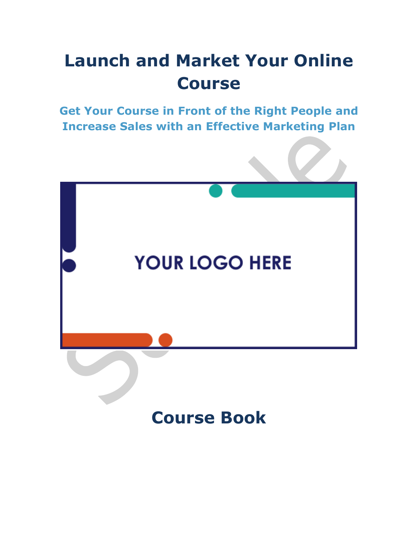### **Launch and Market Your Online Course**

**Get Your Course in Front of the Right People and Increase Sales with an Effective Marketing Plan**

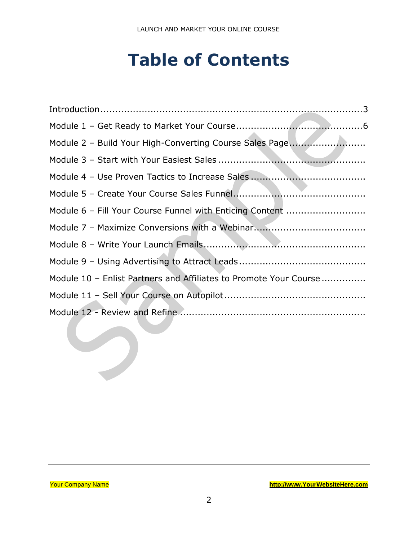### **Table of Contents**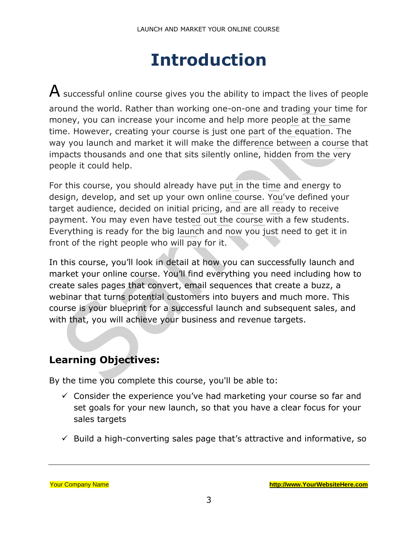### **Introduction**

<span id="page-2-0"></span> $\mathsf A$  successful online course gives you the ability to impact the lives of people around the world. Rather than working one-on-one and trading your time for money, you can increase your income and help more people at the same time. However, creating your course is just one part of the equation. The way you launch and market it will make the difference between a course that impacts thousands and one that sits silently online, hidden from the very people it could help.

For this course, you should already have put in the time and energy to design, develop, and set up your own online course. You've defined your target audience, decided on initial pricing, and are all ready to receive payment. You may even have tested out the course with a few students. Everything is ready for the big launch and now you just need to get it in front of the right people who will pay for it.

In this course, you'll look in detail at how you can successfully launch and market your online course. You'll find everything you need including how to create sales pages that convert, email sequences that create a buzz, a webinar that turns potential customers into buyers and much more. This course is your blueprint for a successful launch and subsequent sales, and with that, you will achieve your business and revenue targets.

#### **Learning Objectives:**

By the time you complete this course, you'll be able to:

- $\checkmark$  Consider the experience you've had marketing your course so far and set goals for your new launch, so that you have a clear focus for your sales targets
- $\checkmark$  Build a high-converting sales page that's attractive and informative, so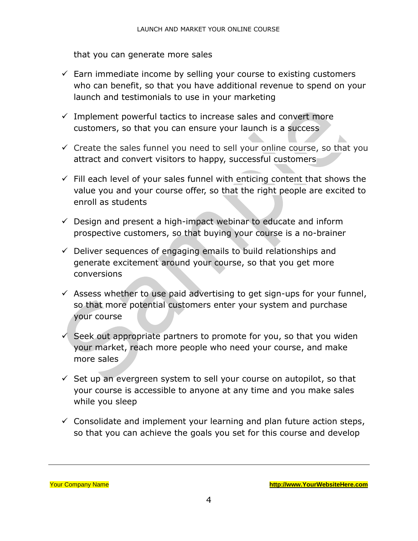that you can generate more sales

- $\checkmark$  Earn immediate income by selling your course to existing customers who can benefit, so that you have additional revenue to spend on your launch and testimonials to use in your marketing
- $\checkmark$  Implement powerful tactics to increase sales and convert more customers, so that you can ensure your launch is a success
- $\checkmark$  Create the sales funnel you need to sell your online course, so that you attract and convert visitors to happy, successful customers
- $\checkmark$  Fill each level of your sales funnel with enticing content that shows the value you and your course offer, so that the right people are excited to enroll as students
- $\checkmark$  Design and present a high-impact webinar to educate and inform prospective customers, so that buying your course is a no-brainer
- $\checkmark$  Deliver sequences of engaging emails to build relationships and generate excitement around your course, so that you get more conversions
- $\checkmark$  Assess whether to use paid advertising to get sign-ups for your funnel, so that more potential customers enter your system and purchase your course
- $\checkmark$  Seek out appropriate partners to promote for you, so that you widen your market, reach more people who need your course, and make more sales
- $\checkmark$  Set up an evergreen system to sell your course on autopilot, so that your course is accessible to anyone at any time and you make sales while you sleep
- $\checkmark$  Consolidate and implement your learning and plan future action steps, so that you can achieve the goals you set for this course and develop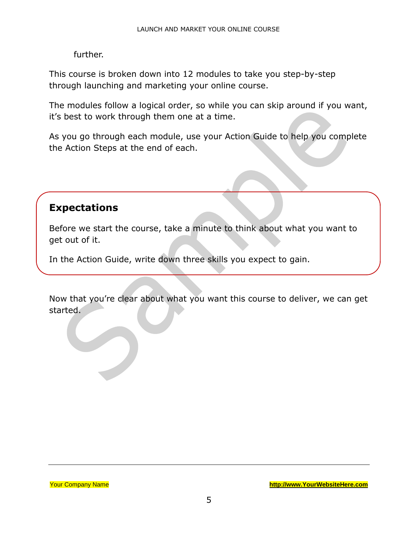further.

This course is broken down into 12 modules to take you step-by-step through launching and marketing your online course.

The modules follow a logical order, so while you can skip around if you want, it's best to work through them one at a time.

As you go through each module, use your Action Guide to help you complete the Action Steps at the end of each.

#### **Expectations**

Before we start the course, take a minute to think about what you want to get out of it.

In the Action Guide, write down three skills you expect to gain.

Now that you're clear about what you want this course to deliver, we can get started.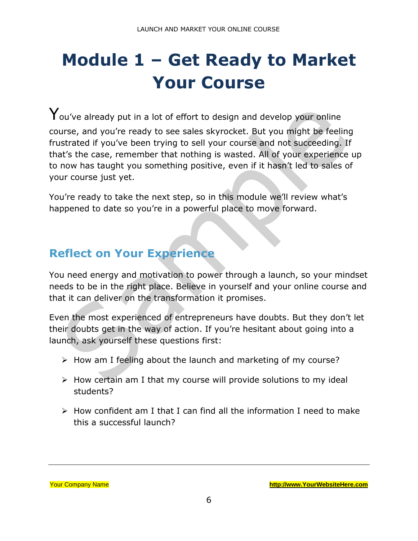# <span id="page-5-0"></span>**Module 1 – Get Ready to Market Your Course**

 $\mathbf{Y}$ ou've already put in a lot of effort to design and develop your online course, and you're ready to see sales skyrocket. But you might be feeling frustrated if you've been trying to sell your course and not succeeding. If that's the case, remember that nothing is wasted. All of your experience up to now has taught you something positive, even if it hasn't led to sales of your course just yet.

You're ready to take the next step, so in this module we'll review what's happened to date so you're in a powerful place to move forward.

#### **Reflect on Your Experience**

You need energy and motivation to power through a launch, so your mindset needs to be in the right place. Believe in yourself and your online course and that it can deliver on the transformation it promises.

Even the most experienced of entrepreneurs have doubts. But they don't let their doubts get in the way of action. If you're hesitant about going into a launch, ask yourself these questions first:

- ➢ How am I feeling about the launch and marketing of my course?
- $\triangleright$  How certain am I that my course will provide solutions to my ideal students?
- $\triangleright$  How confident am I that I can find all the information I need to make this a successful launch?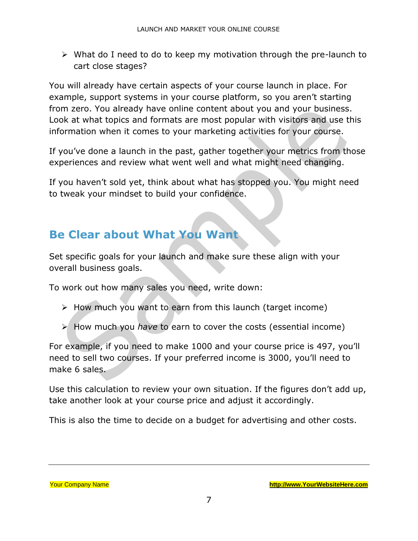➢ What do I need to do to keep my motivation through the pre-launch to cart close stages?

You will already have certain aspects of your course launch in place. For example, support systems in your course platform, so you aren't starting from zero. You already have online content about you and your business. Look at what topics and formats are most popular with visitors and use this information when it comes to your marketing activities for your course.

If you've done a launch in the past, gather together your metrics from those experiences and review what went well and what might need changing.

If you haven't sold yet, think about what has stopped you. You might need to tweak your mindset to build your confidence.

#### **Be Clear about What You Want**

Set specific goals for your launch and make sure these align with your overall business goals.

To work out how many sales you need, write down:

- ➢ How much you want to earn from this launch (target income)
- ➢ How much you *have* to earn to cover the costs (essential income)

For example, if you need to make 1000 and your course price is 497, you'll need to sell two courses. If your preferred income is 3000, you'll need to make 6 sales.

Use this calculation to review your own situation. If the figures don't add up, take another look at your course price and adjust it accordingly.

This is also the time to decide on a budget for advertising and other costs.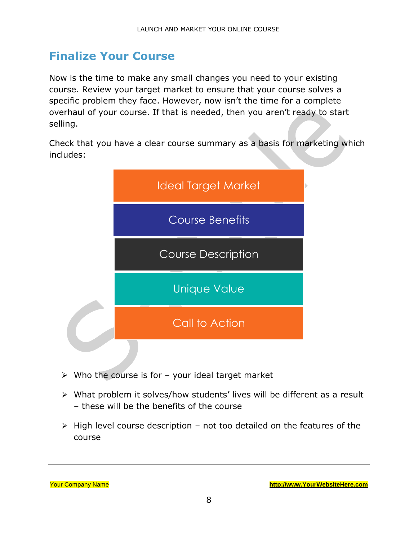#### **Finalize Your Course**

Now is the time to make any small changes you need to your existing course. Review your target market to ensure that your course solves a specific problem they face. However, now isn't the time for a complete overhaul of your course. If that is needed, then you aren't ready to start selling.

Check that you have a clear course summary as a basis for marketing which includes:



- $\triangleright$  Who the course is for your ideal target market
- ➢ What problem it solves/how students' lives will be different as a result – these will be the benefits of the course
- ➢ High level course description not too detailed on the features of the course

| <b>Your Company Name</b> |  |
|--------------------------|--|
|                          |  |